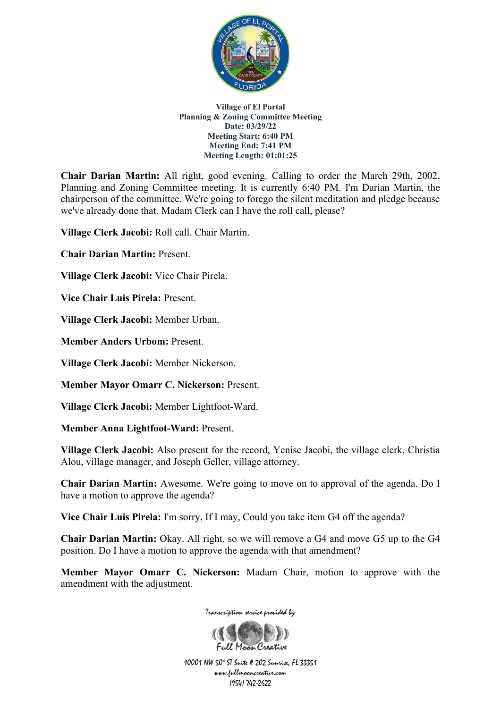

**Chair Darian Martin:** All right, good evening. Calling to order the March 29th, 2002, Planning and Zoning Committee meeting. It is currently 6:40 PM. I'm Darian Martin, the chairperson of the committee. We're going to forego the silent meditation and pledge because we've already done that. Madam Clerk can I have the roll call, please?

**Village Clerk Jacobi:** Roll call. Chair Martin.

**Chair Darian Martin:** Present.

**Village Clerk Jacobi:** Vice Chair Pirela.

**Vice Chair Luis Pirela:** Present.

**Village Clerk Jacobi:** Member Urban.

**Member Anders Urbom:** Present.

**Village Clerk Jacobi:** Member Nickerson.

**Member Mayor Omarr C. Nickerson:** Present.

**Village Clerk Jacobi:** Member Lightfoot-Ward.

**Member Anna Lightfoot-Ward:** Present.

**Village Clerk Jacobi:** Also present for the record, Yenise Jacobi, the village clerk, Christia Alou, village manager, and Joseph Geller, village attorney.

**Chair Darian Martin:** Awesome. We're going to move on to approval of the agenda. Do I have a motion to approve the agenda?

**Vice Chair Luis Pirela:** I'm sorry, If I may, Could you take item G4 off the agenda?

**Chair Darian Martin:** Okay. All right, so we will remove a G4 and move G5 up to the G4 position. Do I have a motion to approve the agenda with that amendment?

**Member Mayor Omarr C. Nickerson:** Madam Chair, motion to approve with the amendment with the adjustment.

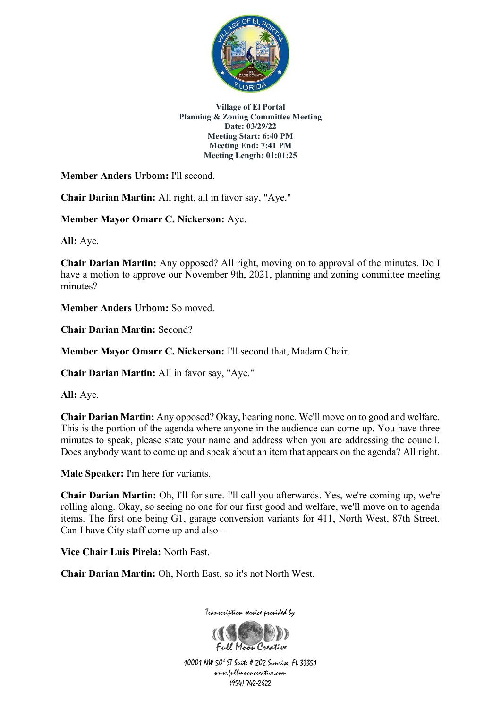

**Member Anders Urbom:** I'll second.

**Chair Darian Martin:** All right, all in favor say, "Aye."

**Member Mayor Omarr C. Nickerson:** Aye.

**All:** Aye.

**Chair Darian Martin:** Any opposed? All right, moving on to approval of the minutes. Do I have a motion to approve our November 9th, 2021, planning and zoning committee meeting minutes?

**Member Anders Urbom:** So moved.

**Chair Darian Martin:** Second?

**Member Mayor Omarr C. Nickerson:** I'll second that, Madam Chair.

**Chair Darian Martin:** All in favor say, "Aye."

**All:** Aye.

**Chair Darian Martin:** Any opposed? Okay, hearing none. We'll move on to good and welfare. This is the portion of the agenda where anyone in the audience can come up. You have three minutes to speak, please state your name and address when you are addressing the council. Does anybody want to come up and speak about an item that appears on the agenda? All right.

**Male Speaker:** I'm here for variants.

**Chair Darian Martin:** Oh, I'll for sure. I'll call you afterwards. Yes, we're coming up, we're rolling along. Okay, so seeing no one for our first good and welfare, we'll move on to agenda items. The first one being G1, garage conversion variants for 411, North West, 87th Street. Can I have City staff come up and also--

**Vice Chair Luis Pirela:** North East.

**Chair Darian Martin:** Oh, North East, so it's not North West.

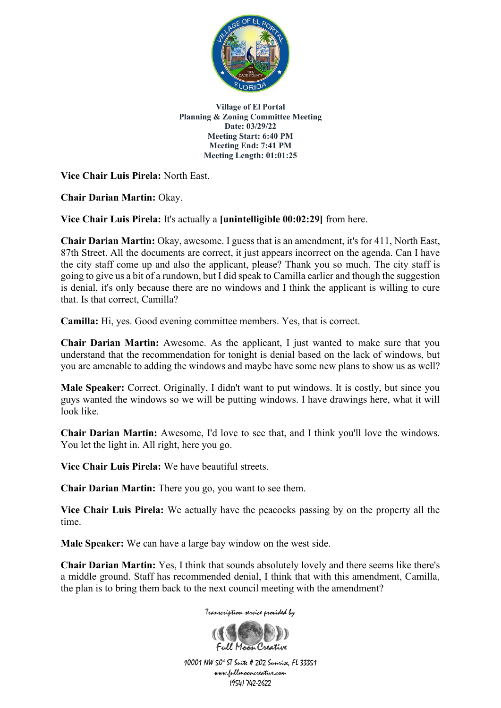

**Vice Chair Luis Pirela:** North East.

**Chair Darian Martin:** Okay.

**Vice Chair Luis Pirela:** It's actually a **[unintelligible 00:02:29]** from here.

**Chair Darian Martin:** Okay, awesome. I guess that is an amendment, it's for 411, North East, 87th Street. All the documents are correct, it just appears incorrect on the agenda. Can I have the city staff come up and also the applicant, please? Thank you so much. The city staff is going to give us a bit of a rundown, but I did speak to Camilla earlier and though the suggestion is denial, it's only because there are no windows and I think the applicant is willing to cure that. Is that correct, Camilla?

**Camilla:** Hi, yes. Good evening committee members. Yes, that is correct.

**Chair Darian Martin:** Awesome. As the applicant, I just wanted to make sure that you understand that the recommendation for tonight is denial based on the lack of windows, but you are amenable to adding the windows and maybe have some new plans to show us as well?

**Male Speaker:** Correct. Originally, I didn't want to put windows. It is costly, but since you guys wanted the windows so we will be putting windows. I have drawings here, what it will look like.

**Chair Darian Martin:** Awesome, I'd love to see that, and I think you'll love the windows. You let the light in. All right, here you go.

**Vice Chair Luis Pirela:** We have beautiful streets.

**Chair Darian Martin:** There you go, you want to see them.

**Vice Chair Luis Pirela:** We actually have the peacocks passing by on the property all the time.

**Male Speaker:** We can have a large bay window on the west side.

**Chair Darian Martin:** Yes, I think that sounds absolutely lovely and there seems like there's a middle ground. Staff has recommended denial, I think that with this amendment, Camilla, the plan is to bring them back to the next council meeting with the amendment?

Transcription service provided by

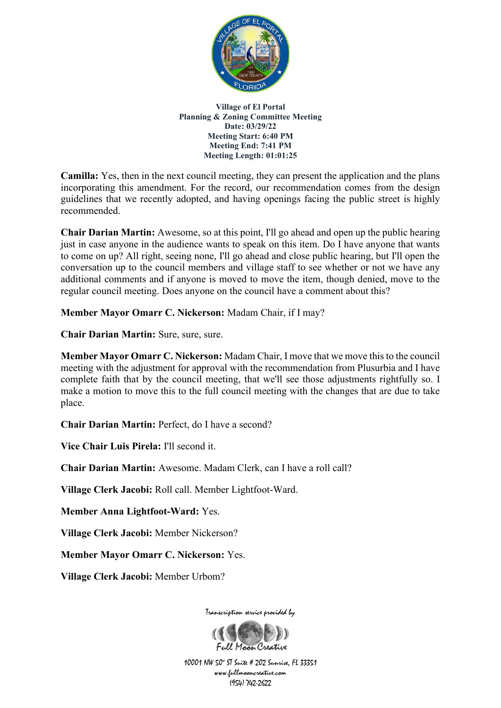

**Camilla:** Yes, then in the next council meeting, they can present the application and the plans incorporating this amendment. For the record, our recommendation comes from the design guidelines that we recently adopted, and having openings facing the public street is highly recommended.

**Chair Darian Martin:** Awesome, so at this point, I'll go ahead and open up the public hearing just in case anyone in the audience wants to speak on this item. Do I have anyone that wants to come on up? All right, seeing none, I'll go ahead and close public hearing, but I'll open the conversation up to the council members and village staff to see whether or not we have any additional comments and if anyone is moved to move the item, though denied, move to the regular council meeting. Does anyone on the council have a comment about this?

**Member Mayor Omarr C. Nickerson:** Madam Chair, if I may?

**Chair Darian Martin:** Sure, sure, sure.

**Member Mayor Omarr C. Nickerson:** Madam Chair, I move that we move this to the council meeting with the adjustment for approval with the recommendation from Plusurbia and I have complete faith that by the council meeting, that we'll see those adjustments rightfully so. I make a motion to move this to the full council meeting with the changes that are due to take place.

**Chair Darian Martin:** Perfect, do I have a second?

**Vice Chair Luis Pirela:** I'll second it.

**Chair Darian Martin:** Awesome. Madam Clerk, can I have a roll call?

**Village Clerk Jacobi:** Roll call. Member Lightfoot-Ward.

**Member Anna Lightfoot-Ward:** Yes.

**Village Clerk Jacobi:** Member Nickerson?

**Member Mayor Omarr C. Nickerson:** Yes.

**Village Clerk Jacobi:** Member Urbom?



Transcription service provided by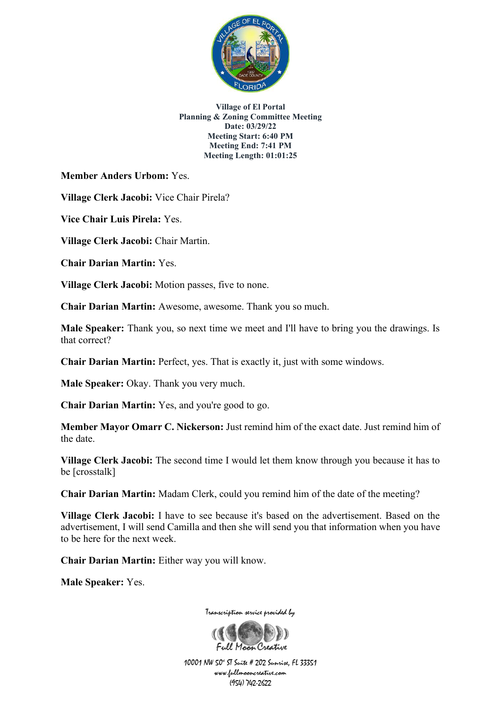

**Member Anders Urbom:** Yes.

**Village Clerk Jacobi:** Vice Chair Pirela?

**Vice Chair Luis Pirela:** Yes.

**Village Clerk Jacobi:** Chair Martin.

**Chair Darian Martin:** Yes.

**Village Clerk Jacobi:** Motion passes, five to none.

**Chair Darian Martin:** Awesome, awesome. Thank you so much.

**Male Speaker:** Thank you, so next time we meet and I'll have to bring you the drawings. Is that correct?

**Chair Darian Martin:** Perfect, yes. That is exactly it, just with some windows.

**Male Speaker:** Okay. Thank you very much.

**Chair Darian Martin:** Yes, and you're good to go.

**Member Mayor Omarr C. Nickerson:** Just remind him of the exact date. Just remind him of the date.

**Village Clerk Jacobi:** The second time I would let them know through you because it has to be [crosstalk]

**Chair Darian Martin:** Madam Clerk, could you remind him of the date of the meeting?

**Village Clerk Jacobi:** I have to see because it's based on the advertisement. Based on the advertisement, I will send Camilla and then she will send you that information when you have to be here for the next week.

**Chair Darian Martin:** Either way you will know.

**Male Speaker:** Yes.

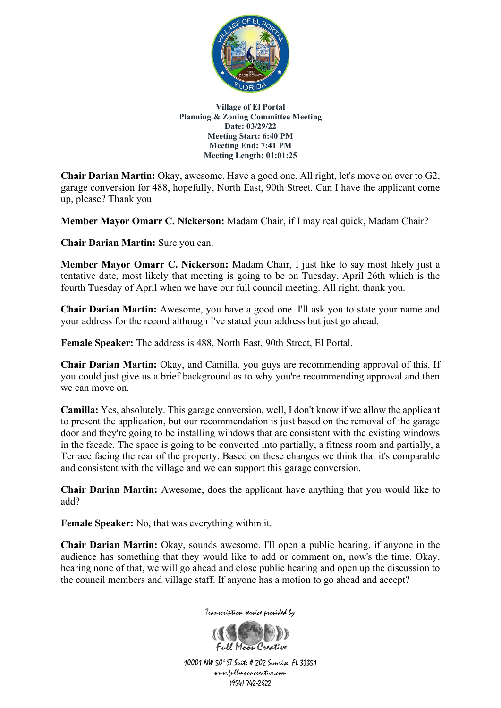

**Chair Darian Martin:** Okay, awesome. Have a good one. All right, let's move on over to G2, garage conversion for 488, hopefully, North East, 90th Street. Can I have the applicant come up, please? Thank you.

**Member Mayor Omarr C. Nickerson:** Madam Chair, if I may real quick, Madam Chair?

**Chair Darian Martin:** Sure you can.

**Member Mayor Omarr C. Nickerson:** Madam Chair, I just like to say most likely just a tentative date, most likely that meeting is going to be on Tuesday, April 26th which is the fourth Tuesday of April when we have our full council meeting. All right, thank you.

**Chair Darian Martin:** Awesome, you have a good one. I'll ask you to state your name and your address for the record although I've stated your address but just go ahead.

**Female Speaker:** The address is 488, North East, 90th Street, El Portal.

**Chair Darian Martin:** Okay, and Camilla, you guys are recommending approval of this. If you could just give us a brief background as to why you're recommending approval and then we can move on.

**Camilla:** Yes, absolutely. This garage conversion, well, I don't know if we allow the applicant to present the application, but our recommendation is just based on the removal of the garage door and they're going to be installing windows that are consistent with the existing windows in the facade. The space is going to be converted into partially, a fitness room and partially, a Terrace facing the rear of the property. Based on these changes we think that it's comparable and consistent with the village and we can support this garage conversion.

**Chair Darian Martin:** Awesome, does the applicant have anything that you would like to add?

**Female Speaker:** No, that was everything within it.

**Chair Darian Martin:** Okay, sounds awesome. I'll open a public hearing, if anyone in the audience has something that they would like to add or comment on, now's the time. Okay, hearing none of that, we will go ahead and close public hearing and open up the discussion to the council members and village staff. If anyone has a motion to go ahead and accept?



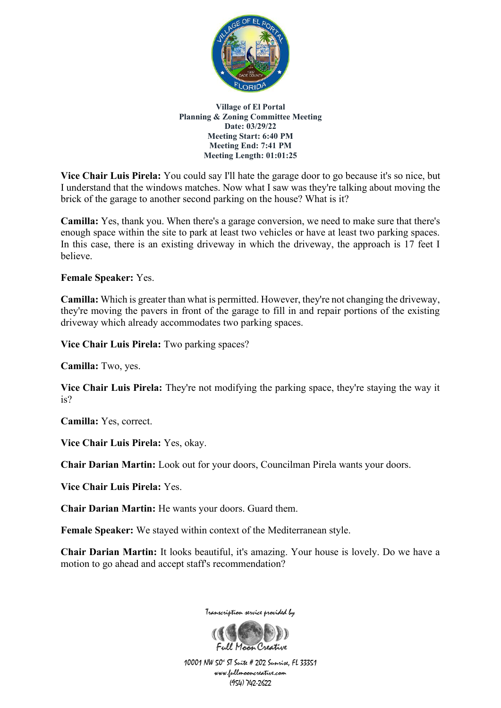

**Vice Chair Luis Pirela:** You could say I'll hate the garage door to go because it's so nice, but I understand that the windows matches. Now what I saw was they're talking about moving the brick of the garage to another second parking on the house? What is it?

**Camilla:** Yes, thank you. When there's a garage conversion, we need to make sure that there's enough space within the site to park at least two vehicles or have at least two parking spaces. In this case, there is an existing driveway in which the driveway, the approach is 17 feet I believe.

**Female Speaker:** Yes.

**Camilla:** Which is greater than what is permitted. However, they're not changing the driveway, they're moving the pavers in front of the garage to fill in and repair portions of the existing driveway which already accommodates two parking spaces.

**Vice Chair Luis Pirela:** Two parking spaces?

**Camilla:** Two, yes.

**Vice Chair Luis Pirela:** They're not modifying the parking space, they're staying the way it is?

**Camilla:** Yes, correct.

**Vice Chair Luis Pirela:** Yes, okay.

**Chair Darian Martin:** Look out for your doors, Councilman Pirela wants your doors.

**Vice Chair Luis Pirela:** Yes.

**Chair Darian Martin:** He wants your doors. Guard them.

**Female Speaker:** We stayed within context of the Mediterranean style.

**Chair Darian Martin:** It looks beautiful, it's amazing. Your house is lovely. Do we have a motion to go ahead and accept staff's recommendation?



Transcription service provided by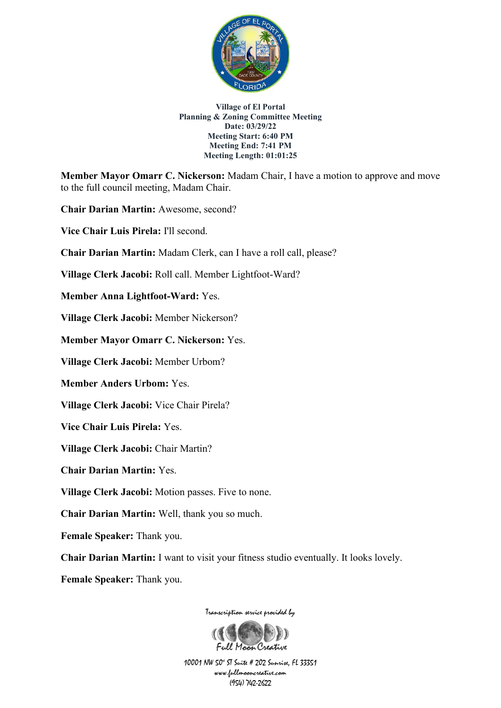

**Member Mayor Omarr C. Nickerson:** Madam Chair, I have a motion to approve and move to the full council meeting, Madam Chair.

**Chair Darian Martin:** Awesome, second?

**Vice Chair Luis Pirela:** I'll second.

**Chair Darian Martin:** Madam Clerk, can I have a roll call, please?

**Village Clerk Jacobi:** Roll call. Member Lightfoot-Ward?

**Member Anna Lightfoot-Ward:** Yes.

**Village Clerk Jacobi:** Member Nickerson?

**Member Mayor Omarr C. Nickerson:** Yes.

**Village Clerk Jacobi:** Member Urbom?

**Member Anders Urbom:** Yes.

**Village Clerk Jacobi:** Vice Chair Pirela?

**Vice Chair Luis Pirela:** Yes.

**Village Clerk Jacobi:** Chair Martin?

**Chair Darian Martin:** Yes.

**Village Clerk Jacobi:** Motion passes. Five to none.

**Chair Darian Martin:** Well, thank you so much.

**Female Speaker:** Thank you.

**Chair Darian Martin:** I want to visit your fitness studio eventually. It looks lovely.

**Female Speaker:** Thank you.

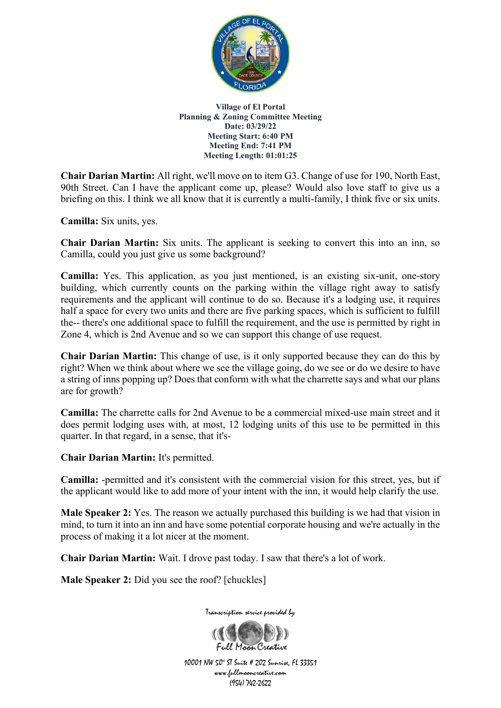

**Chair Darian Martin:** All right, we'll move on to item G3. Change of use for 190, North East, 90th Street. Can I have the applicant come up, please? Would also love staff to give us a briefing on this. I think we all know that it is currently a multi-family, I think five or six units.

**Camilla:** Six units, yes.

**Chair Darian Martin:** Six units. The applicant is seeking to convert this into an inn, so Camilla, could you just give us some background?

**Camilla:** Yes. This application, as you just mentioned, is an existing six-unit, one-story building, which currently counts on the parking within the village right away to satisfy requirements and the applicant will continue to do so. Because it's a lodging use, it requires half a space for every two units and there are five parking spaces, which is sufficient to fulfill the-- there's one additional space to fulfill the requirement, and the use is permitted by right in Zone 4, which is 2nd Avenue and so we can support this change of use request.

**Chair Darian Martin:** This change of use, is it only supported because they can do this by right? When we think about where we see the village going, do we see or do we desire to have a string of inns popping up? Does that conform with what the charrette says and what our plans are for growth?

**Camilla:** The charrette calls for 2nd Avenue to be a commercial mixed-use main street and it does permit lodging uses with, at most, 12 lodging units of this use to be permitted in this quarter. In that regard, in a sense, that it's-

**Chair Darian Martin:** It's permitted.

**Camilla:** -permitted and it's consistent with the commercial vision for this street, yes, but if the applicant would like to add more of your intent with the inn, it would help clarify the use.

**Male Speaker 2:** Yes. The reason we actually purchased this building is we had that vision in mind, to turn it into an inn and have some potential corporate housing and we're actually in the process of making it a lot nicer at the moment.

**Chair Darian Martin:** Wait. I drove past today. I saw that there's a lot of work.

**Male Speaker 2:** Did you see the roof? [chuckles]

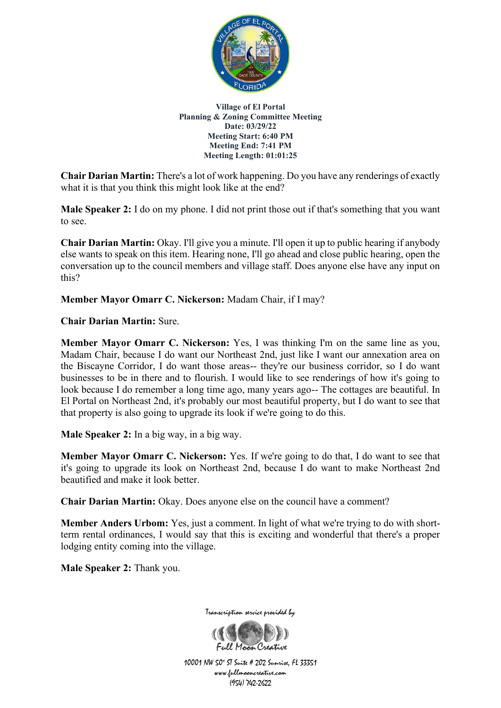

**Chair Darian Martin:** There's a lot of work happening. Do you have any renderings of exactly what it is that you think this might look like at the end?

**Male Speaker 2:** I do on my phone. I did not print those out if that's something that you want to see.

**Chair Darian Martin:** Okay. I'll give you a minute. I'll open it up to public hearing if anybody else wants to speak on this item. Hearing none, I'll go ahead and close public hearing, open the conversation up to the council members and village staff. Does anyone else have any input on this?

**Member Mayor Omarr C. Nickerson:** Madam Chair, if I may?

**Chair Darian Martin:** Sure.

**Member Mayor Omarr C. Nickerson:** Yes, I was thinking I'm on the same line as you, Madam Chair, because I do want our Northeast 2nd, just like I want our annexation area on the Biscayne Corridor, I do want those areas-- they're our business corridor, so I do want businesses to be in there and to flourish. I would like to see renderings of how it's going to look because I do remember a long time ago, many years ago-- The cottages are beautiful. In El Portal on Northeast 2nd, it's probably our most beautiful property, but I do want to see that that property is also going to upgrade its look if we're going to do this.

**Male Speaker 2:** In a big way, in a big way.

**Member Mayor Omarr C. Nickerson:** Yes. If we're going to do that, I do want to see that it's going to upgrade its look on Northeast 2nd, because I do want to make Northeast 2nd beautified and make it look better.

**Chair Darian Martin:** Okay. Does anyone else on the council have a comment?

**Member Anders Urbom:** Yes, just a comment. In light of what we're trying to do with shortterm rental ordinances, I would say that this is exciting and wonderful that there's a proper lodging entity coming into the village.

**Male Speaker 2:** Thank you.



10001 NW 50<sup>4</sup> ST Suite # 202 Sunrise, FL 33351 www.fullmooncreative.com (954) 742-2622

Full Maan Creative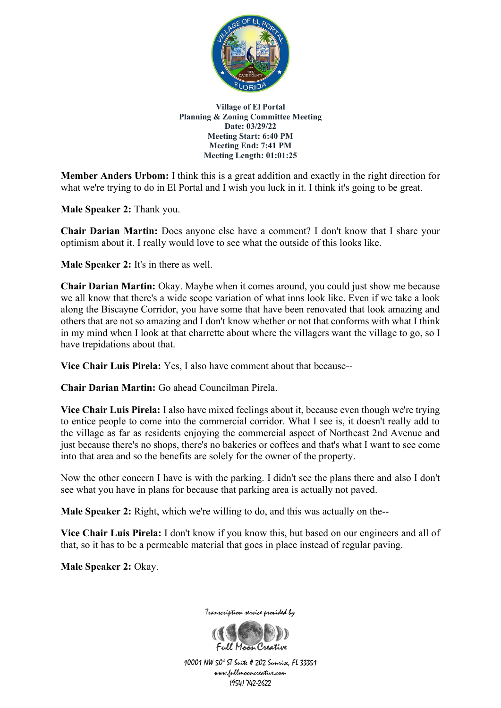

**Member Anders Urbom:** I think this is a great addition and exactly in the right direction for what we're trying to do in El Portal and I wish you luck in it. I think it's going to be great.

**Male Speaker 2:** Thank you.

**Chair Darian Martin:** Does anyone else have a comment? I don't know that I share your optimism about it. I really would love to see what the outside of this looks like.

**Male Speaker 2:** It's in there as well.

**Chair Darian Martin:** Okay. Maybe when it comes around, you could just show me because we all know that there's a wide scope variation of what inns look like. Even if we take a look along the Biscayne Corridor, you have some that have been renovated that look amazing and others that are not so amazing and I don't know whether or not that conforms with what I think in my mind when I look at that charrette about where the villagers want the village to go, so I have trepidations about that.

**Vice Chair Luis Pirela:** Yes, I also have comment about that because--

**Chair Darian Martin:** Go ahead Councilman Pirela.

**Vice Chair Luis Pirela:** I also have mixed feelings about it, because even though we're trying to entice people to come into the commercial corridor. What I see is, it doesn't really add to the village as far as residents enjoying the commercial aspect of Northeast 2nd Avenue and just because there's no shops, there's no bakeries or coffees and that's what I want to see come into that area and so the benefits are solely for the owner of the property.

Now the other concern I have is with the parking. I didn't see the plans there and also I don't see what you have in plans for because that parking area is actually not paved.

**Male Speaker 2:** Right, which we're willing to do, and this was actually on the--

**Vice Chair Luis Pirela:** I don't know if you know this, but based on our engineers and all of that, so it has to be a permeable material that goes in place instead of regular paving.

**Male Speaker 2:** Okay.

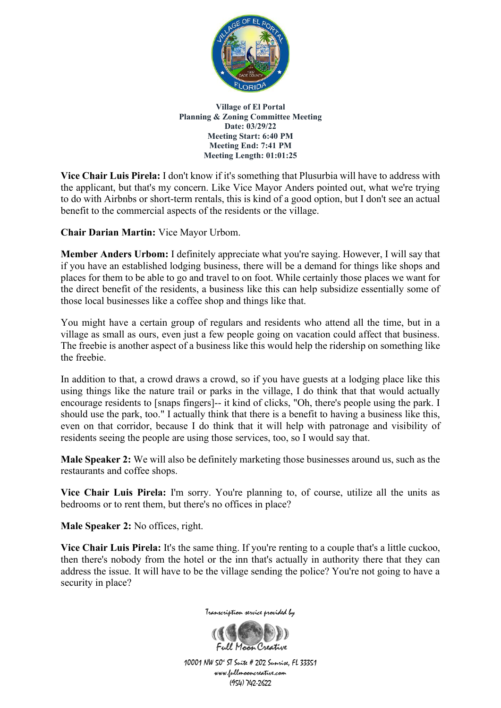

**Vice Chair Luis Pirela:** I don't know if it's something that Plusurbia will have to address with the applicant, but that's my concern. Like Vice Mayor Anders pointed out, what we're trying to do with Airbnbs or short-term rentals, this is kind of a good option, but I don't see an actual benefit to the commercial aspects of the residents or the village.

**Chair Darian Martin:** Vice Mayor Urbom.

**Member Anders Urbom:** I definitely appreciate what you're saying. However, I will say that if you have an established lodging business, there will be a demand for things like shops and places for them to be able to go and travel to on foot. While certainly those places we want for the direct benefit of the residents, a business like this can help subsidize essentially some of those local businesses like a coffee shop and things like that.

You might have a certain group of regulars and residents who attend all the time, but in a village as small as ours, even just a few people going on vacation could affect that business. The freebie is another aspect of a business like this would help the ridership on something like the freebie.

In addition to that, a crowd draws a crowd, so if you have guests at a lodging place like this using things like the nature trail or parks in the village, I do think that that would actually encourage residents to [snaps fingers]-- it kind of clicks, "Oh, there's people using the park. I should use the park, too." I actually think that there is a benefit to having a business like this, even on that corridor, because I do think that it will help with patronage and visibility of residents seeing the people are using those services, too, so I would say that.

**Male Speaker 2:** We will also be definitely marketing those businesses around us, such as the restaurants and coffee shops.

**Vice Chair Luis Pirela:** I'm sorry. You're planning to, of course, utilize all the units as bedrooms or to rent them, but there's no offices in place?

**Male Speaker 2:** No offices, right.

**Vice Chair Luis Pirela:** It's the same thing. If you're renting to a couple that's a little cuckoo, then there's nobody from the hotel or the inn that's actually in authority there that they can address the issue. It will have to be the village sending the police? You're not going to have a security in place?



Full Magn Creative 10001 NW 50<sup>\*</sup> ST Suite # 202 Sunrise, FL 33351 www.fullmooncreative.com (954) 742-2622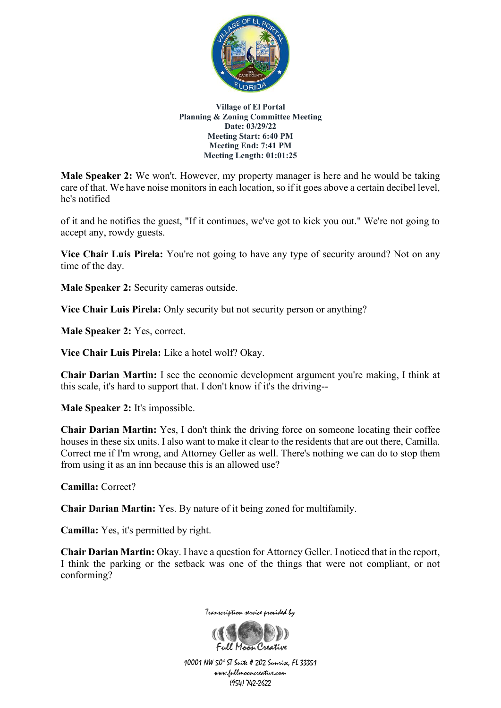

**Male Speaker 2:** We won't. However, my property manager is here and he would be taking care of that. We have noise monitors in each location, so if it goes above a certain decibel level, he's notified

of it and he notifies the guest, "If it continues, we've got to kick you out." We're not going to accept any, rowdy guests.

**Vice Chair Luis Pirela:** You're not going to have any type of security around? Not on any time of the day.

**Male Speaker 2:** Security cameras outside.

**Vice Chair Luis Pirela:** Only security but not security person or anything?

**Male Speaker 2:** Yes, correct.

**Vice Chair Luis Pirela:** Like a hotel wolf? Okay.

**Chair Darian Martin:** I see the economic development argument you're making, I think at this scale, it's hard to support that. I don't know if it's the driving--

**Male Speaker 2:** It's impossible.

**Chair Darian Martin:** Yes, I don't think the driving force on someone locating their coffee houses in these six units. I also want to make it clear to the residents that are out there, Camilla. Correct me if I'm wrong, and Attorney Geller as well. There's nothing we can do to stop them from using it as an inn because this is an allowed use?

**Camilla:** Correct?

**Chair Darian Martin:** Yes. By nature of it being zoned for multifamily.

**Camilla:** Yes, it's permitted by right.

**Chair Darian Martin:** Okay. I have a question for Attorney Geller. I noticed that in the report, I think the parking or the setback was one of the things that were not compliant, or not conforming?



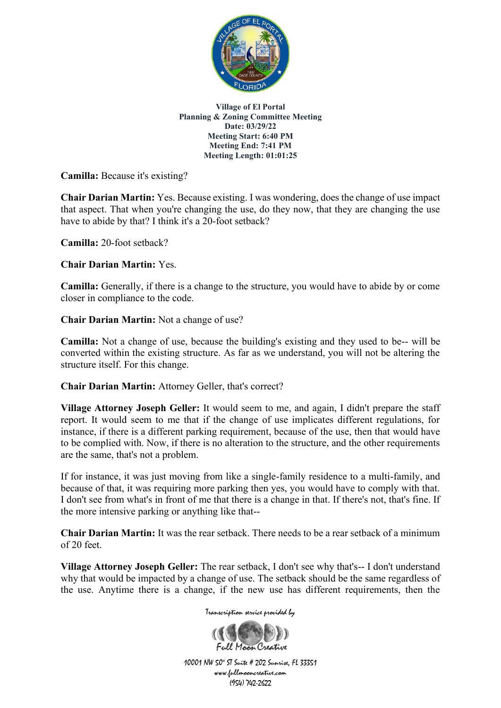

**Camilla:** Because it's existing?

**Chair Darian Martin:** Yes. Because existing. I was wondering, does the change of use impact that aspect. That when you're changing the use, do they now, that they are changing the use have to abide by that? I think it's a 20-foot setback?

**Camilla:** 20-foot setback?

**Chair Darian Martin:** Yes.

**Camilla:** Generally, if there is a change to the structure, you would have to abide by or come closer in compliance to the code.

**Chair Darian Martin:** Not a change of use?

**Camilla:** Not a change of use, because the building's existing and they used to be-- will be converted within the existing structure. As far as we understand, you will not be altering the structure itself. For this change.

**Chair Darian Martin:** Attorney Geller, that's correct?

**Village Attorney Joseph Geller:** It would seem to me, and again, I didn't prepare the staff report. It would seem to me that if the change of use implicates different regulations, for instance, if there is a different parking requirement, because of the use, then that would have to be complied with. Now, if there is no alteration to the structure, and the other requirements are the same, that's not a problem.

If for instance, it was just moving from like a single-family residence to a multi-family, and because of that, it was requiring more parking then yes, you would have to comply with that. I don't see from what's in front of me that there is a change in that. If there's not, that's fine. If the more intensive parking or anything like that--

**Chair Darian Martin:** It was the rear setback. There needs to be a rear setback of a minimum of 20 feet.

**Village Attorney Joseph Geller:** The rear setback, I don't see why that's-- I don't understand why that would be impacted by a change of use. The setback should be the same regardless of the use. Anytime there is a change, if the new use has different requirements, then the

Transcription service provided by

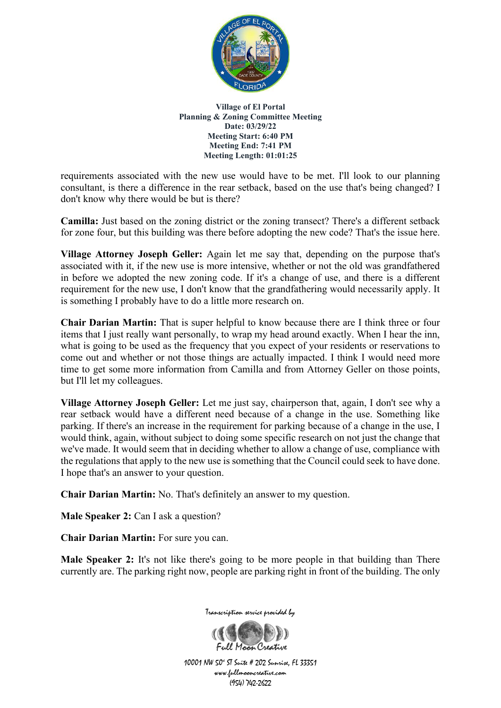

requirements associated with the new use would have to be met. I'll look to our planning consultant, is there a difference in the rear setback, based on the use that's being changed? I don't know why there would be but is there?

**Camilla:** Just based on the zoning district or the zoning transect? There's a different setback for zone four, but this building was there before adopting the new code? That's the issue here.

**Village Attorney Joseph Geller:** Again let me say that, depending on the purpose that's associated with it, if the new use is more intensive, whether or not the old was grandfathered in before we adopted the new zoning code. If it's a change of use, and there is a different requirement for the new use, I don't know that the grandfathering would necessarily apply. It is something I probably have to do a little more research on.

**Chair Darian Martin:** That is super helpful to know because there are I think three or four items that I just really want personally, to wrap my head around exactly. When I hear the inn, what is going to be used as the frequency that you expect of your residents or reservations to come out and whether or not those things are actually impacted. I think I would need more time to get some more information from Camilla and from Attorney Geller on those points, but I'll let my colleagues.

**Village Attorney Joseph Geller:** Let me just say, chairperson that, again, I don't see why a rear setback would have a different need because of a change in the use. Something like parking. If there's an increase in the requirement for parking because of a change in the use, I would think, again, without subject to doing some specific research on not just the change that we've made. It would seem that in deciding whether to allow a change of use, compliance with the regulations that apply to the new use is something that the Council could seek to have done. I hope that's an answer to your question.

**Chair Darian Martin:** No. That's definitely an answer to my question.

**Male Speaker 2:** Can I ask a question?

**Chair Darian Martin:** For sure you can.

**Male Speaker 2:** It's not like there's going to be more people in that building than There currently are. The parking right now, people are parking right in front of the building. The only



Full Maan Creative 10001 NW 50<sup>4</sup> ST Suite # 202 Sunrise, FL 33351 www.fullmooncreative.com (954) 742-2622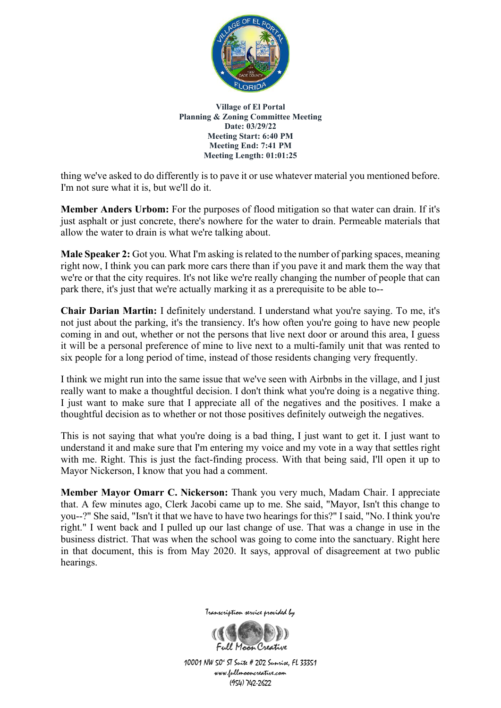

thing we've asked to do differently is to pave it or use whatever material you mentioned before. I'm not sure what it is, but we'll do it.

**Member Anders Urbom:** For the purposes of flood mitigation so that water can drain. If it's just asphalt or just concrete, there's nowhere for the water to drain. Permeable materials that allow the water to drain is what we're talking about.

**Male Speaker 2:** Got you. What I'm asking is related to the number of parking spaces, meaning right now, I think you can park more cars there than if you pave it and mark them the way that we're or that the city requires. It's not like we're really changing the number of people that can park there, it's just that we're actually marking it as a prerequisite to be able to--

**Chair Darian Martin:** I definitely understand. I understand what you're saying. To me, it's not just about the parking, it's the transiency. It's how often you're going to have new people coming in and out, whether or not the persons that live next door or around this area, I guess it will be a personal preference of mine to live next to a multi-family unit that was rented to six people for a long period of time, instead of those residents changing very frequently.

I think we might run into the same issue that we've seen with Airbnbs in the village, and I just really want to make a thoughtful decision. I don't think what you're doing is a negative thing. I just want to make sure that I appreciate all of the negatives and the positives. I make a thoughtful decision as to whether or not those positives definitely outweigh the negatives.

This is not saying that what you're doing is a bad thing, I just want to get it. I just want to understand it and make sure that I'm entering my voice and my vote in a way that settles right with me. Right. This is just the fact-finding process. With that being said, I'll open it up to Mayor Nickerson, I know that you had a comment.

**Member Mayor Omarr C. Nickerson:** Thank you very much, Madam Chair. I appreciate that. A few minutes ago, Clerk Jacobi came up to me. She said, "Mayor, Isn't this change to you--?" She said, "Isn't it that we have to have two hearings for this?" I said, "No. I think you're right." I went back and I pulled up our last change of use. That was a change in use in the business district. That was when the school was going to come into the sanctuary. Right here in that document, this is from May 2020. It says, approval of disagreement at two public hearings.



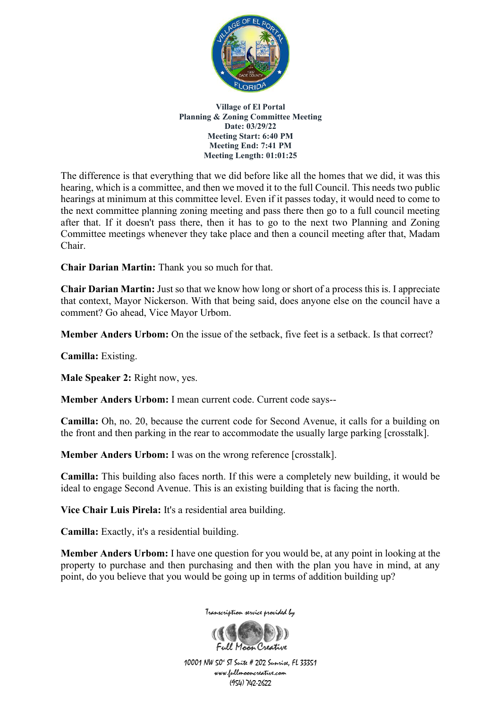

The difference is that everything that we did before like all the homes that we did, it was this hearing, which is a committee, and then we moved it to the full Council. This needs two public hearings at minimum at this committee level. Even if it passes today, it would need to come to the next committee planning zoning meeting and pass there then go to a full council meeting after that. If it doesn't pass there, then it has to go to the next two Planning and Zoning Committee meetings whenever they take place and then a council meeting after that, Madam Chair.

**Chair Darian Martin:** Thank you so much for that.

**Chair Darian Martin:** Just so that we know how long or short of a process this is. I appreciate that context, Mayor Nickerson. With that being said, does anyone else on the council have a comment? Go ahead, Vice Mayor Urbom.

**Member Anders Urbom:** On the issue of the setback, five feet is a setback. Is that correct?

**Camilla:** Existing.

**Male Speaker 2:** Right now, yes.

**Member Anders Urbom:** I mean current code. Current code says--

**Camilla:** Oh, no. 20, because the current code for Second Avenue, it calls for a building on the front and then parking in the rear to accommodate the usually large parking [crosstalk].

**Member Anders Urbom:** I was on the wrong reference [crosstalk].

**Camilla:** This building also faces north. If this were a completely new building, it would be ideal to engage Second Avenue. This is an existing building that is facing the north.

**Vice Chair Luis Pirela:** It's a residential area building.

**Camilla:** Exactly, it's a residential building.

**Member Anders Urbom:** I have one question for you would be, at any point in looking at the property to purchase and then purchasing and then with the plan you have in mind, at any point, do you believe that you would be going up in terms of addition building up?



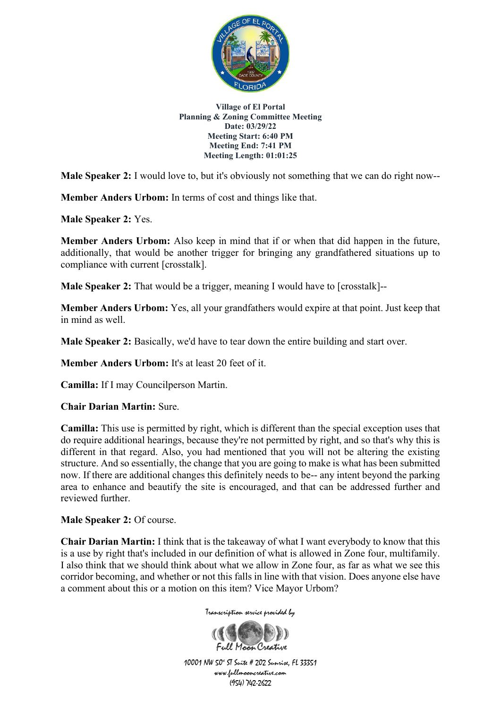

**Male Speaker 2:** I would love to, but it's obviously not something that we can do right now--

**Member Anders Urbom:** In terms of cost and things like that.

**Male Speaker 2:** Yes.

**Member Anders Urbom:** Also keep in mind that if or when that did happen in the future, additionally, that would be another trigger for bringing any grandfathered situations up to compliance with current [crosstalk].

**Male Speaker 2:** That would be a trigger, meaning I would have to [crosstalk]—

**Member Anders Urbom:** Yes, all your grandfathers would expire at that point. Just keep that in mind as well.

**Male Speaker 2:** Basically, we'd have to tear down the entire building and start over.

**Member Anders Urbom:** It's at least 20 feet of it.

**Camilla:** If I may Councilperson Martin.

**Chair Darian Martin:** Sure.

**Camilla:** This use is permitted by right, which is different than the special exception uses that do require additional hearings, because they're not permitted by right, and so that's why this is different in that regard. Also, you had mentioned that you will not be altering the existing structure. And so essentially, the change that you are going to make is what has been submitted now. If there are additional changes this definitely needs to be-- any intent beyond the parking area to enhance and beautify the site is encouraged, and that can be addressed further and reviewed further.

**Male Speaker 2:** Of course.

**Chair Darian Martin:** I think that is the takeaway of what I want everybody to know that this is a use by right that's included in our definition of what is allowed in Zone four, multifamily. I also think that we should think about what we allow in Zone four, as far as what we see this corridor becoming, and whether or not this falls in line with that vision. Does anyone else have a comment about this or a motion on this item? Vice Mayor Urbom?

Transcription service provided by

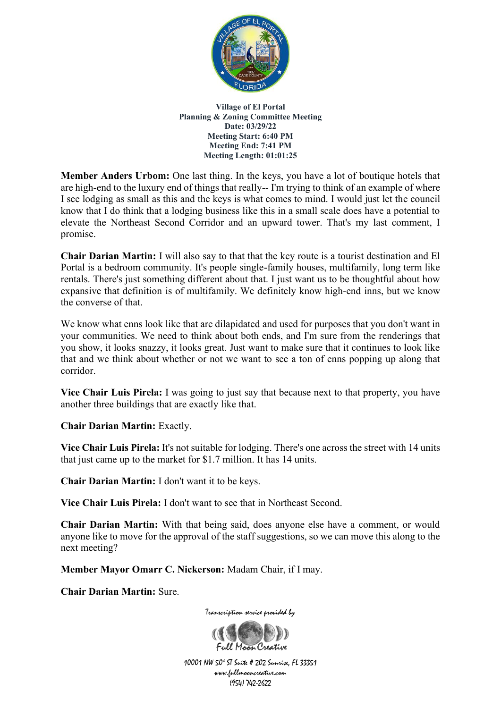

**Member Anders Urbom:** One last thing. In the keys, you have a lot of boutique hotels that are high-end to the luxury end of things that really-- I'm trying to think of an example of where I see lodging as small as this and the keys is what comes to mind. I would just let the council know that I do think that a lodging business like this in a small scale does have a potential to elevate the Northeast Second Corridor and an upward tower. That's my last comment, I promise.

**Chair Darian Martin:** I will also say to that that the key route is a tourist destination and El Portal is a bedroom community. It's people single-family houses, multifamily, long term like rentals. There's just something different about that. I just want us to be thoughtful about how expansive that definition is of multifamily. We definitely know high-end inns, but we know the converse of that.

We know what enns look like that are dilapidated and used for purposes that you don't want in your communities. We need to think about both ends, and I'm sure from the renderings that you show, it looks snazzy, it looks great. Just want to make sure that it continues to look like that and we think about whether or not we want to see a ton of enns popping up along that corridor.

**Vice Chair Luis Pirela:** I was going to just say that because next to that property, you have another three buildings that are exactly like that.

**Chair Darian Martin:** Exactly.

**Vice Chair Luis Pirela:** It's not suitable for lodging. There's one across the street with 14 units that just came up to the market for \$1.7 million. It has 14 units.

**Chair Darian Martin:** I don't want it to be keys.

**Vice Chair Luis Pirela:** I don't want to see that in Northeast Second.

**Chair Darian Martin:** With that being said, does anyone else have a comment, or would anyone like to move for the approval of the staff suggestions, so we can move this along to the next meeting?

**Member Mayor Omarr C. Nickerson:** Madam Chair, if I may.

**Chair Darian Martin:** Sure.



Transcription service provided by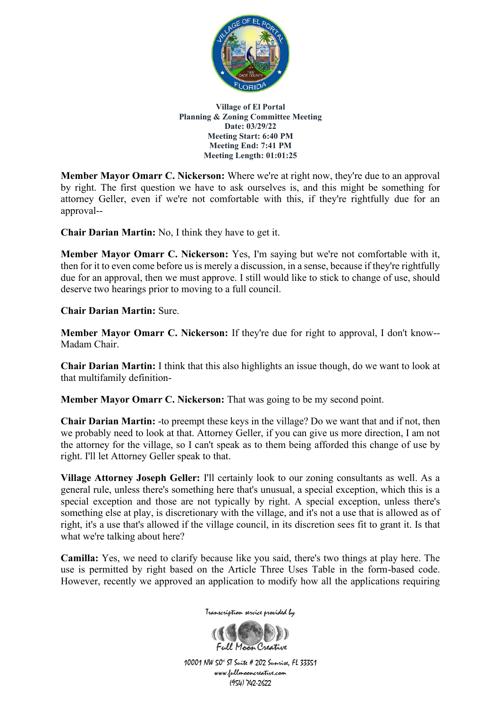

**Member Mayor Omarr C. Nickerson:** Where we're at right now, they're due to an approval by right. The first question we have to ask ourselves is, and this might be something for attorney Geller, even if we're not comfortable with this, if they're rightfully due for an approval--

**Chair Darian Martin:** No, I think they have to get it.

**Member Mayor Omarr C. Nickerson:** Yes, I'm saying but we're not comfortable with it, then for it to even come before us is merely a discussion, in a sense, because if they're rightfully due for an approval, then we must approve. I still would like to stick to change of use, should deserve two hearings prior to moving to a full council.

**Chair Darian Martin:** Sure.

**Member Mayor Omarr C. Nickerson:** If they're due for right to approval, I don't know-- Madam Chair.

**Chair Darian Martin:** I think that this also highlights an issue though, do we want to look at that multifamily definition-

**Member Mayor Omarr C. Nickerson:** That was going to be my second point.

**Chair Darian Martin:** -to preempt these keys in the village? Do we want that and if not, then we probably need to look at that. Attorney Geller, if you can give us more direction, I am not the attorney for the village, so I can't speak as to them being afforded this change of use by right. I'll let Attorney Geller speak to that.

**Village Attorney Joseph Geller:** I'll certainly look to our zoning consultants as well. As a general rule, unless there's something here that's unusual, a special exception, which this is a special exception and those are not typically by right. A special exception, unless there's something else at play, is discretionary with the village, and it's not a use that is allowed as of right, it's a use that's allowed if the village council, in its discretion sees fit to grant it. Is that what we're talking about here?

**Camilla:** Yes, we need to clarify because like you said, there's two things at play here. The use is permitted by right based on the Article Three Uses Table in the form-based code. However, recently we approved an application to modify how all the applications requiring

Transcription service provided by

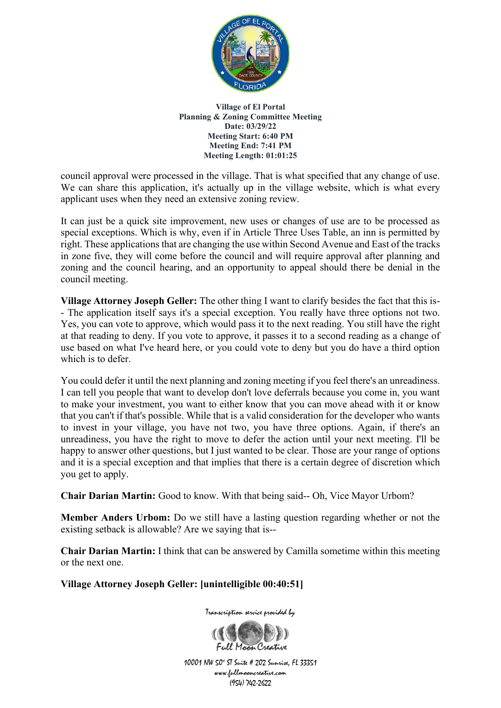

council approval were processed in the village. That is what specified that any change of use. We can share this application, it's actually up in the village website, which is what every applicant uses when they need an extensive zoning review.

It can just be a quick site improvement, new uses or changes of use are to be processed as special exceptions. Which is why, even if in Article Three Uses Table, an inn is permitted by right. These applications that are changing the use within Second Avenue and East of the tracks in zone five, they will come before the council and will require approval after planning and zoning and the council hearing, and an opportunity to appeal should there be denial in the council meeting.

**Village Attorney Joseph Geller:** The other thing I want to clarify besides the fact that this is- - The application itself says it's a special exception. You really have three options not two. Yes, you can vote to approve, which would pass it to the next reading. You still have the right at that reading to deny. If you vote to approve, it passes it to a second reading as a change of use based on what I've heard here, or you could vote to deny but you do have a third option which is to defer.

You could defer it until the next planning and zoning meeting if you feel there's an unreadiness. I can tell you people that want to develop don't love deferrals because you come in, you want to make your investment, you want to either know that you can move ahead with it or know that you can't if that's possible. While that is a valid consideration for the developer who wants to invest in your village, you have not two, you have three options. Again, if there's an unreadiness, you have the right to move to defer the action until your next meeting. I'll be happy to answer other questions, but I just wanted to be clear. Those are your range of options and it is a special exception and that implies that there is a certain degree of discretion which you get to apply.

**Chair Darian Martin:** Good to know. With that being said-- Oh, Vice Mayor Urbom?

**Member Anders Urbom:** Do we still have a lasting question regarding whether or not the existing setback is allowable? Are we saying that is--

**Chair Darian Martin:** I think that can be answered by Camilla sometime within this meeting or the next one.

**Village Attorney Joseph Geller: [unintelligible 00:40:51]**

Transcription service provided by

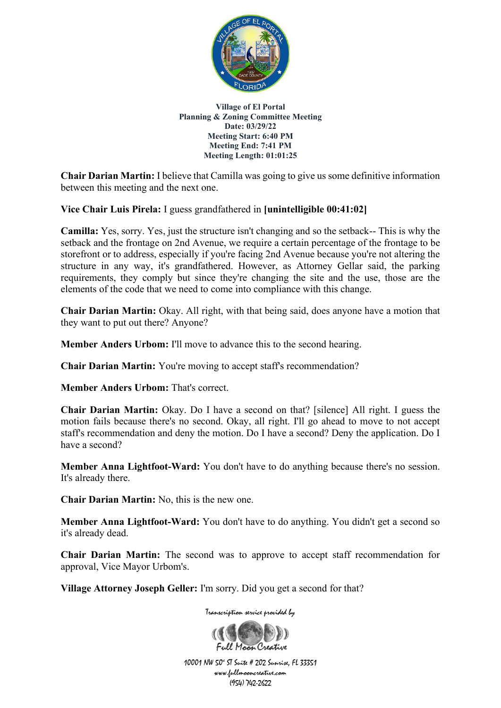

**Chair Darian Martin:** I believe that Camilla was going to give us some definitive information between this meeting and the next one.

**Vice Chair Luis Pirela:** I guess grandfathered in **[unintelligible 00:41:02]**

**Camilla:** Yes, sorry. Yes, just the structure isn't changing and so the setback-- This is why the setback and the frontage on 2nd Avenue, we require a certain percentage of the frontage to be storefront or to address, especially if you're facing 2nd Avenue because you're not altering the structure in any way, it's grandfathered. However, as Attorney Gellar said, the parking requirements, they comply but since they're changing the site and the use, those are the elements of the code that we need to come into compliance with this change.

**Chair Darian Martin:** Okay. All right, with that being said, does anyone have a motion that they want to put out there? Anyone?

**Member Anders Urbom:** I'll move to advance this to the second hearing.

**Chair Darian Martin:** You're moving to accept staff's recommendation?

**Member Anders Urbom: That's correct.** 

**Chair Darian Martin:** Okay. Do I have a second on that? [silence] All right. I guess the motion fails because there's no second. Okay, all right. I'll go ahead to move to not accept staff's recommendation and deny the motion. Do I have a second? Deny the application. Do I have a second?

**Member Anna Lightfoot-Ward:** You don't have to do anything because there's no session. It's already there.

**Chair Darian Martin:** No, this is the new one.

**Member Anna Lightfoot-Ward:** You don't have to do anything. You didn't get a second so it's already dead.

**Chair Darian Martin:** The second was to approve to accept staff recommendation for approval, Vice Mayor Urbom's.

**Village Attorney Joseph Geller:** I'm sorry. Did you get a second for that?

Transcription service provided by

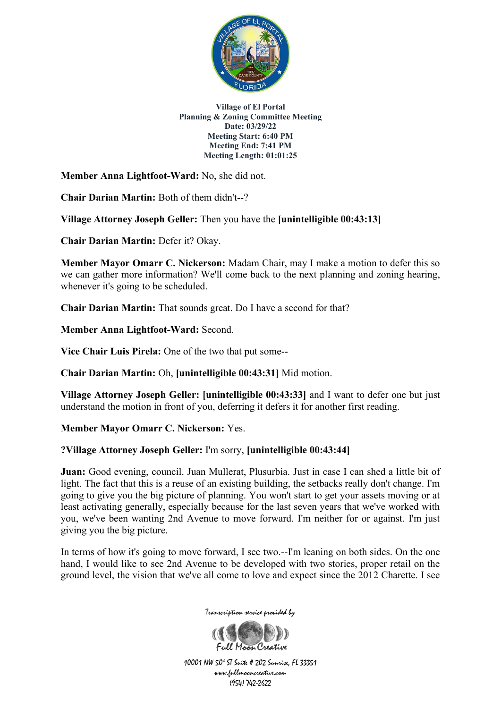

**Member Anna Lightfoot-Ward:** No, she did not.

**Chair Darian Martin:** Both of them didn't--?

**Village Attorney Joseph Geller:** Then you have the **[unintelligible 00:43:13]**

**Chair Darian Martin:** Defer it? Okay.

**Member Mayor Omarr C. Nickerson:** Madam Chair, may I make a motion to defer this so we can gather more information? We'll come back to the next planning and zoning hearing, whenever it's going to be scheduled.

**Chair Darian Martin:** That sounds great. Do I have a second for that?

**Member Anna Lightfoot-Ward:** Second.

**Vice Chair Luis Pirela:** One of the two that put some--

**Chair Darian Martin:** Oh, **[unintelligible 00:43:31]** Mid motion.

**Village Attorney Joseph Geller: [unintelligible 00:43:33]** and I want to defer one but just understand the motion in front of you, deferring it defers it for another first reading.

**Member Mayor Omarr C. Nickerson:** Yes.

## **?Village Attorney Joseph Geller:** I'm sorry, **[unintelligible 00:43:44]**

**Juan:** Good evening, council. Juan Mullerat, Plusurbia. Just in case I can shed a little bit of light. The fact that this is a reuse of an existing building, the setbacks really don't change. I'm going to give you the big picture of planning. You won't start to get your assets moving or at least activating generally, especially because for the last seven years that we've worked with you, we've been wanting 2nd Avenue to move forward. I'm neither for or against. I'm just giving you the big picture.

In terms of how it's going to move forward, I see two.--I'm leaning on both sides. On the one hand, I would like to see 2nd Avenue to be developed with two stories, proper retail on the ground level, the vision that we've all come to love and expect since the 2012 Charette. I see



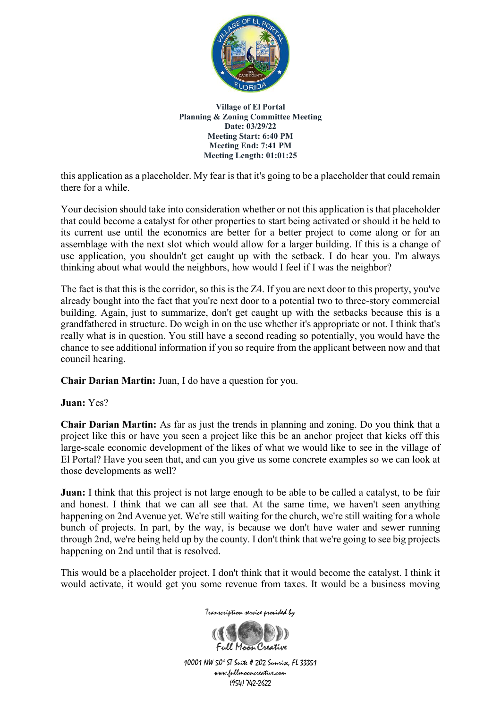

this application as a placeholder. My fear is that it's going to be a placeholder that could remain there for a while.

Your decision should take into consideration whether or not this application is that placeholder that could become a catalyst for other properties to start being activated or should it be held to its current use until the economics are better for a better project to come along or for an assemblage with the next slot which would allow for a larger building. If this is a change of use application, you shouldn't get caught up with the setback. I do hear you. I'm always thinking about what would the neighbors, how would I feel if I was the neighbor?

The fact is that this is the corridor, so this is the Z4. If you are next door to this property, you've already bought into the fact that you're next door to a potential two to three-story commercial building. Again, just to summarize, don't get caught up with the setbacks because this is a grandfathered in structure. Do weigh in on the use whether it's appropriate or not. I think that's really what is in question. You still have a second reading so potentially, you would have the chance to see additional information if you so require from the applicant between now and that council hearing.

**Chair Darian Martin:** Juan, I do have a question for you.

**Juan:** Yes?

**Chair Darian Martin:** As far as just the trends in planning and zoning. Do you think that a project like this or have you seen a project like this be an anchor project that kicks off this large-scale economic development of the likes of what we would like to see in the village of El Portal? Have you seen that, and can you give us some concrete examples so we can look at those developments as well?

**Juan:** I think that this project is not large enough to be able to be called a catalyst, to be fair and honest. I think that we can all see that. At the same time, we haven't seen anything happening on 2nd Avenue yet. We're still waiting for the church, we're still waiting for a whole bunch of projects. In part, by the way, is because we don't have water and sewer running through 2nd, we're being held up by the county. I don't think that we're going to see big projects happening on 2nd until that is resolved.

This would be a placeholder project. I don't think that it would become the catalyst. I think it would activate, it would get you some revenue from taxes. It would be a business moving

Transcription service provided by

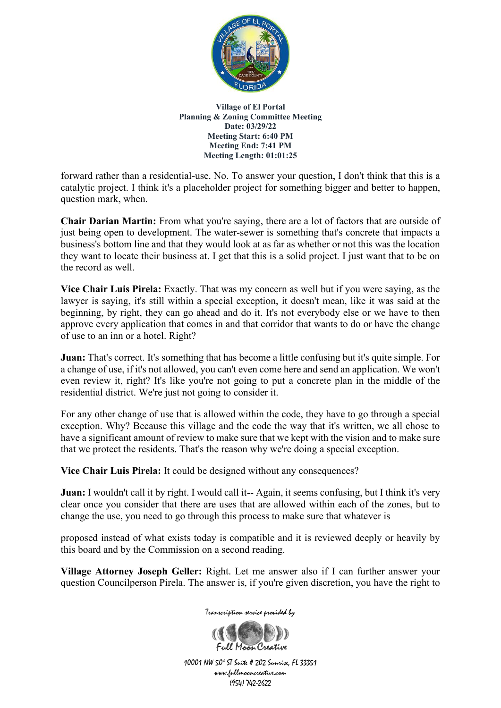

forward rather than a residential-use. No. To answer your question, I don't think that this is a catalytic project. I think it's a placeholder project for something bigger and better to happen, question mark, when.

**Chair Darian Martin:** From what you're saying, there are a lot of factors that are outside of just being open to development. The water-sewer is something that's concrete that impacts a business's bottom line and that they would look at as far as whether or not this was the location they want to locate their business at. I get that this is a solid project. I just want that to be on the record as well.

**Vice Chair Luis Pirela:** Exactly. That was my concern as well but if you were saying, as the lawyer is saying, it's still within a special exception, it doesn't mean, like it was said at the beginning, by right, they can go ahead and do it. It's not everybody else or we have to then approve every application that comes in and that corridor that wants to do or have the change of use to an inn or a hotel. Right?

**Juan:** That's correct. It's something that has become a little confusing but it's quite simple. For a change of use, if it's not allowed, you can't even come here and send an application. We won't even review it, right? It's like you're not going to put a concrete plan in the middle of the residential district. We're just not going to consider it.

For any other change of use that is allowed within the code, they have to go through a special exception. Why? Because this village and the code the way that it's written, we all chose to have a significant amount of review to make sure that we kept with the vision and to make sure that we protect the residents. That's the reason why we're doing a special exception.

**Vice Chair Luis Pirela:** It could be designed without any consequences?

**Juan:** I wouldn't call it by right. I would call it-- Again, it seems confusing, but I think it's very clear once you consider that there are uses that are allowed within each of the zones, but to change the use, you need to go through this process to make sure that whatever is

proposed instead of what exists today is compatible and it is reviewed deeply or heavily by this board and by the Commission on a second reading.

**Village Attorney Joseph Geller:** Right. Let me answer also if I can further answer your question Councilperson Pirela. The answer is, if you're given discretion, you have the right to

Transcription service provided by

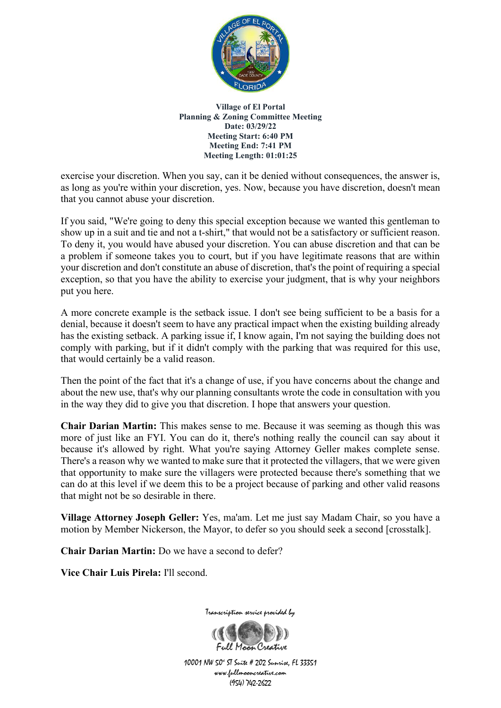

exercise your discretion. When you say, can it be denied without consequences, the answer is, as long as you're within your discretion, yes. Now, because you have discretion, doesn't mean that you cannot abuse your discretion.

If you said, "We're going to deny this special exception because we wanted this gentleman to show up in a suit and tie and not a t-shirt," that would not be a satisfactory or sufficient reason. To deny it, you would have abused your discretion. You can abuse discretion and that can be a problem if someone takes you to court, but if you have legitimate reasons that are within your discretion and don't constitute an abuse of discretion, that's the point of requiring a special exception, so that you have the ability to exercise your judgment, that is why your neighbors put you here.

A more concrete example is the setback issue. I don't see being sufficient to be a basis for a denial, because it doesn't seem to have any practical impact when the existing building already has the existing setback. A parking issue if, I know again, I'm not saying the building does not comply with parking, but if it didn't comply with the parking that was required for this use, that would certainly be a valid reason.

Then the point of the fact that it's a change of use, if you have concerns about the change and about the new use, that's why our planning consultants wrote the code in consultation with you in the way they did to give you that discretion. I hope that answers your question.

**Chair Darian Martin:** This makes sense to me. Because it was seeming as though this was more of just like an FYI. You can do it, there's nothing really the council can say about it because it's allowed by right. What you're saying Attorney Geller makes complete sense. There's a reason why we wanted to make sure that it protected the villagers, that we were given that opportunity to make sure the villagers were protected because there's something that we can do at this level if we deem this to be a project because of parking and other valid reasons that might not be so desirable in there.

**Village Attorney Joseph Geller:** Yes, ma'am. Let me just say Madam Chair, so you have a motion by Member Nickerson, the Mayor, to defer so you should seek a second [crosstalk].

**Chair Darian Martin:** Do we have a second to defer?

**Vice Chair Luis Pirela:** I'll second.

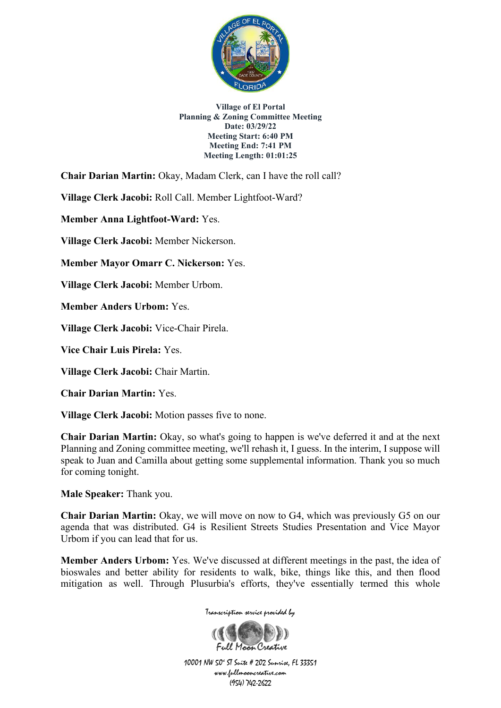

**Chair Darian Martin:** Okay, Madam Clerk, can I have the roll call?

**Village Clerk Jacobi:** Roll Call. Member Lightfoot-Ward?

**Member Anna Lightfoot-Ward:** Yes.

**Village Clerk Jacobi:** Member Nickerson.

**Member Mayor Omarr C. Nickerson:** Yes.

**Village Clerk Jacobi:** Member Urbom.

**Member Anders Urbom:** Yes.

**Village Clerk Jacobi:** Vice-Chair Pirela.

**Vice Chair Luis Pirela:** Yes.

**Village Clerk Jacobi:** Chair Martin.

**Chair Darian Martin:** Yes.

**Village Clerk Jacobi:** Motion passes five to none.

**Chair Darian Martin:** Okay, so what's going to happen is we've deferred it and at the next Planning and Zoning committee meeting, we'll rehash it, I guess. In the interim, I suppose will speak to Juan and Camilla about getting some supplemental information. Thank you so much for coming tonight.

**Male Speaker:** Thank you.

**Chair Darian Martin:** Okay, we will move on now to G4, which was previously G5 on our agenda that was distributed. G4 is Resilient Streets Studies Presentation and Vice Mayor Urbom if you can lead that for us.

**Member Anders Urbom:** Yes. We've discussed at different meetings in the past, the idea of bioswales and better ability for residents to walk, bike, things like this, and then flood mitigation as well. Through Plusurbia's efforts, they've essentially termed this whole



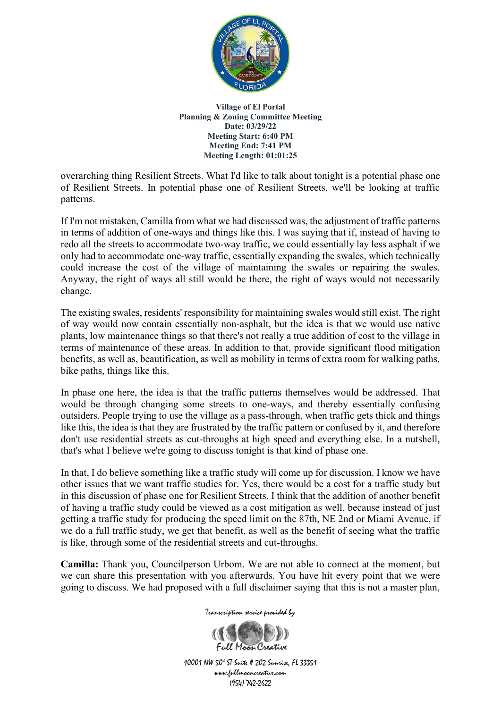

overarching thing Resilient Streets. What I'd like to talk about tonight is a potential phase one of Resilient Streets. In potential phase one of Resilient Streets, we'll be looking at traffic patterns.

If I'm not mistaken, Camilla from what we had discussed was, the adjustment of traffic patterns in terms of addition of one-ways and things like this. I was saying that if, instead of having to redo all the streets to accommodate two-way traffic, we could essentially lay less asphalt if we only had to accommodate one-way traffic, essentially expanding the swales, which technically could increase the cost of the village of maintaining the swales or repairing the swales. Anyway, the right of ways all still would be there, the right of ways would not necessarily change.

The existing swales, residents' responsibility for maintaining swales would still exist. The right of way would now contain essentially non-asphalt, but the idea is that we would use native plants, low maintenance things so that there's not really a true addition of cost to the village in terms of maintenance of these areas. In addition to that, provide significant flood mitigation benefits, as well as, beautification, as well as mobility in terms of extra room for walking paths, bike paths, things like this.

In phase one here, the idea is that the traffic patterns themselves would be addressed. That would be through changing some streets to one-ways, and thereby essentially confusing outsiders. People trying to use the village as a pass-through, when traffic gets thick and things like this, the idea is that they are frustrated by the traffic pattern or confused by it, and therefore don't use residential streets as cut-throughs at high speed and everything else. In a nutshell, that's what I believe we're going to discuss tonight is that kind of phase one.

In that, I do believe something like a traffic study will come up for discussion. I know we have other issues that we want traffic studies for. Yes, there would be a cost for a traffic study but in this discussion of phase one for Resilient Streets, I think that the addition of another benefit of having a traffic study could be viewed as a cost mitigation as well, because instead of just getting a traffic study for producing the speed limit on the 87th, NE 2nd or Miami Avenue, if we do a full traffic study, we get that benefit, as well as the benefit of seeing what the traffic is like, through some of the residential streets and cut-throughs.

**Camilla:** Thank you, Councilperson Urbom. We are not able to connect at the moment, but we can share this presentation with you afterwards. You have hit every point that we were going to discuss. We had proposed with a full disclaimer saying that this is not a master plan,

Transcription service provided by

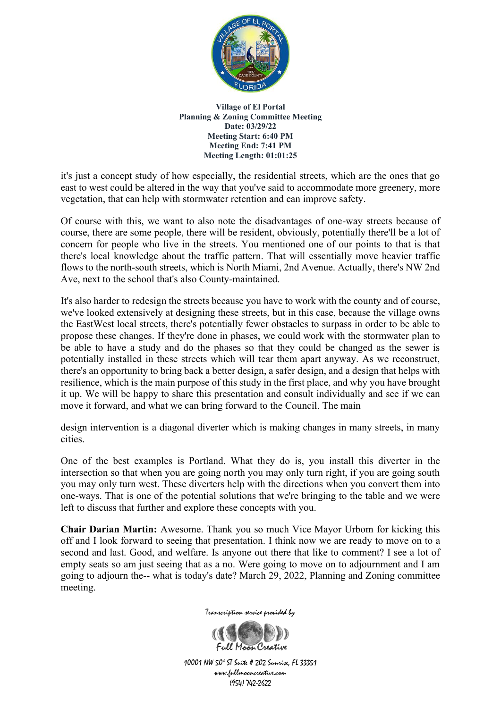

it's just a concept study of how especially, the residential streets, which are the ones that go east to west could be altered in the way that you've said to accommodate more greenery, more vegetation, that can help with stormwater retention and can improve safety.

Of course with this, we want to also note the disadvantages of one-way streets because of course, there are some people, there will be resident, obviously, potentially there'll be a lot of concern for people who live in the streets. You mentioned one of our points to that is that there's local knowledge about the traffic pattern. That will essentially move heavier traffic flows to the north-south streets, which is North Miami, 2nd Avenue. Actually, there's NW 2nd Ave, next to the school that's also County-maintained.

It's also harder to redesign the streets because you have to work with the county and of course, we've looked extensively at designing these streets, but in this case, because the village owns the EastWest local streets, there's potentially fewer obstacles to surpass in order to be able to propose these changes. If they're done in phases, we could work with the stormwater plan to be able to have a study and do the phases so that they could be changed as the sewer is potentially installed in these streets which will tear them apart anyway. As we reconstruct, there's an opportunity to bring back a better design, a safer design, and a design that helps with resilience, which is the main purpose of this study in the first place, and why you have brought it up. We will be happy to share this presentation and consult individually and see if we can move it forward, and what we can bring forward to the Council. The main

design intervention is a diagonal diverter which is making changes in many streets, in many cities.

One of the best examples is Portland. What they do is, you install this diverter in the intersection so that when you are going north you may only turn right, if you are going south you may only turn west. These diverters help with the directions when you convert them into one-ways. That is one of the potential solutions that we're bringing to the table and we were left to discuss that further and explore these concepts with you.

**Chair Darian Martin:** Awesome. Thank you so much Vice Mayor Urbom for kicking this off and I look forward to seeing that presentation. I think now we are ready to move on to a second and last. Good, and welfare. Is anyone out there that like to comment? I see a lot of empty seats so am just seeing that as a no. Were going to move on to adjournment and I am going to adjourn the-- what is today's date? March 29, 2022, Planning and Zoning committee meeting.